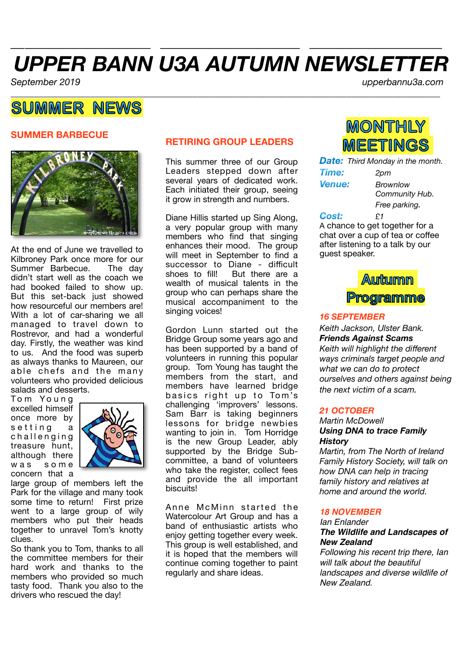# *UPPER BANN U3A AUTUMN NEWSLETTER*

*\_\_\_\_\_\_\_\_\_\_\_\_\_\_\_\_\_\_\_\_ \_\_\_\_\_\_\_\_\_\_\_\_\_\_\_\_\_\_\_\_ \_\_\_\_\_\_\_\_\_\_\_\_\_\_\_\_\_\_\_*

*September 2019 upperbannu3a.com* 

## **SUMMER NEWS**

## **SUMMER BARBECUE**



At the end of June we travelled to Kilbroney Park once more for our<br>Summer Barbecue. The dav Summer Barbecue. didn't start well as the coach we had booked failed to show up. But this set-back just showed how resourceful our members are! With a lot of car-sharing we all managed to travel down to Rostrevor, and had a wonderful day. Firstly, the weather was kind to us. And the food was superb as always thanks to Maureen, our able chefs and the many volunteers who provided delicious salads and desserts.

Tom Young excelled himself once more by s e t t in g a challenging treasure hunt, although there was some concern that a



large group of members left the Park for the village and many took some time to return! First prize went to a large group of wily members who put their heads together to unravel Tom's knotty clues.

So thank you to Tom, thanks to all the committee members for their hard work and thanks to the members who provided so much tasty food. Thank you also to the drivers who rescued the day!

## **RETIRING GROUP LEADERS**

This summer three of our Group Leaders stepped down after several years of dedicated work. Each initiated their group, seeing it grow in strength and numbers.

Diane Hillis started up Sing Along, a very popular group with many members who find that singing enhances their mood. The group will meet in September to find a successor to Diane - difficult shoes to fill! But there are a wealth of musical talents in the group who can perhaps share the musical accompaniment to the singing voices!

Gordon Lunn started out the Bridge Group some years ago and has been supported by a band of volunteers in running this popular group. Tom Young has taught the members from the start, and members have learned bridge basics right up to Tom's challenging 'improvers' lessons. Sam Barr is taking beginners lessons for bridge newbies wanting to join in. Tom Horridge is the new Group Leader, ably supported by the Bridge Subcommittee, a band of volunteers who take the register, collect fees and provide the all important biscuits!

Anne McMinn started the Watercolour Art Group and has a band of enthusiastic artists who enjoy getting together every week. This group is well established, and it is hoped that the members will continue coming together to paint regularly and share ideas.

*\_\_\_\_\_\_\_\_\_\_\_\_\_\_\_\_\_\_\_\_\_\_\_\_\_\_\_\_\_\_\_\_\_\_\_\_\_\_\_\_\_\_\_\_\_\_\_\_\_\_\_\_\_\_\_\_\_\_\_\_\_\_\_\_\_\_\_\_\_\_\_\_\_\_\_\_\_\_\_\_\_\_\_\_\_\_\_\_\_\_\_\_*

## **MONTHLY MEETINGS**

*Date: Third Monday in the month.*

*Time: 2pm Venue: Brownlow* 

 *Community Hub. <i>Free parking.* 

#### *Cost: £1*

A chance to get together for a chat over a cup of tea or coffee after listening to a talk by our guest speaker.



### *16 SEPTEMBER*

*Keith Jackson, Ulster Bank. Friends Against Scams Keith will highlight the different ways criminals target people and what we can do to protect ourselves and others against being the next victim of a scam.* 

### *21 OCTOBER*

## *Martin McDowell Using DNA to trace Family History*

*Martin, from The North of Ireland Family History Society, will talk on how DNA can help in tracing family history and relatives at home and around the world.* 

### *18 NOVEMBER*

## *Ian Enlander The Wildlife and Landscapes of New Zealand*

*Following his recent trip there, Ian will talk about the beautiful landscapes and diverse wildlife of New Zealand*.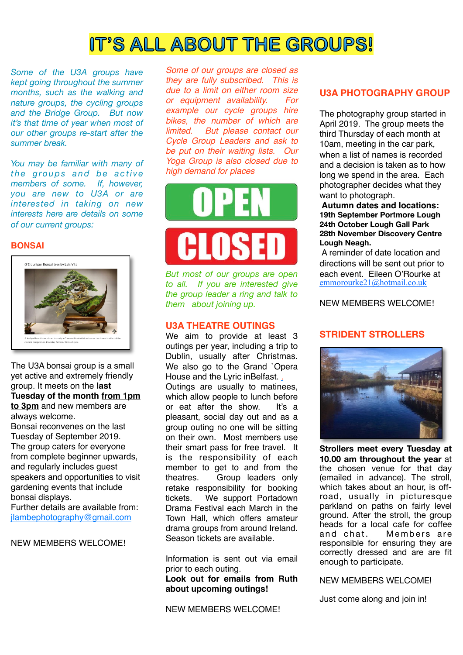## **IT'S ALL ABOUT THE GROUPS!**

*Some of the U3A groups have kept going throughout the summer months, such as the walking and nature groups, the cycling groups and the Bridge Group. But now it's that time of year when most of our other groups re-start after the summer break.* 

*You may be familiar with many of the groups and be active members of some. If, however, you are new to U3A or are interested in taking on new interests here are details on some of our current groups:* 

#### **BONSAI**



The U3A bonsai group is a small yet active and extremely friendly group. It meets on the **last Tuesday of the month [from 1pm](x-apple-data-detectors://1)  [to 3pm](x-apple-data-detectors://1)** and new members are always welcome.

Bonsai reconvenes on the last Tuesday of September 2019. The group caters for everyone from complete beginner upwards, and regularly includes guest speakers and opportunities to visit gardening events that include bonsai displays.

Further details are available from: [jlambephotography@gmail.com](mailto:jlambephotography@gmail.com)

NEW MEMBERS WELCOME!

*Some of our groups are closed as they are fully subscribed. This is due to a limit on either room size or equipment availability. For example our cycle groups hire bikes, the number of which are limited. But please contact our Cycle Group Leaders and ask to be put on their waiting lists. Our Yoga Group is also closed due to high demand for places*



*But most of our groups are open to all. If you are interested give the group leader a ring and talk to them about joining up.* 

### **U3A THEATRE OUTINGS**

We aim to provide at least 3 outings per year, including a trip to Dublin, usually after Christmas. We also go to the Grand `Opera House and the Lyric inBelfast. . Outings are usually to matinees, which allow people to lunch before or eat after the show. It's a pleasant, social day out and as a group outing no one will be sitting on their own. Most members use their smart pass for free travel. It is the responsibility of each member to get to and from the theatres. Group leaders only retake responsibility for booking tickets. We support Portadown Drama Festival each March in the Town Hall, which offers amateur drama groups from around Ireland. Season tickets are available.

Information is sent out via email prior to each outing.

**Look out for emails from Ruth about upcoming outings!**

NEW MEMBERS WELCOME!

## **U3A PHOTOGRAPHY GROUP**

The photography group started in April 2019. The group meets the third Thursday of each month at 10am, meeting in the car park, when a list of names is recorded and a decision is taken as to how long we spend in the area. Each photographer decides what they want to photograph.

**Autumn dates and locations: 19th September Portmore Lough 24th October Lough Gall Park 28th November Discovery Centre Lough Neagh.**

A reminder of date location and directions will be sent out prior to each event. Eileen O'Rourke at [emmorourke21@hotmail.co.uk](mailto:emmorourke21@hotmail.co.uk)

NEW MEMBERS WELCOME!

## **STRIDENT STROLLERS**



**Strollers meet every Tuesday at 10.00 am throughout the year** at the chosen venue for that day (emailed in advance). The stroll, which takes about an hour, is offroad, usually in picturesque parkland on paths on fairly level ground. After the stroll, the group heads for a local cafe for coffee and chat. Members are responsible for ensuring they are correctly dressed and are are fit enough to participate.

NEW MEMBERS WELCOME!

Just come along and join in!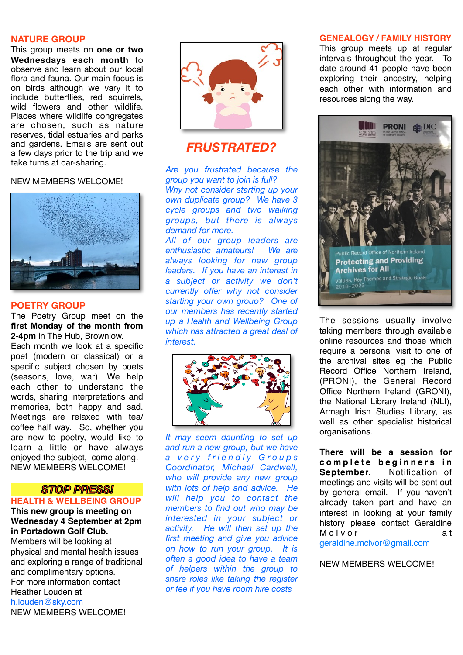### **NATURE GROUP**

This group meets on **one or two Wednesdays each month** to observe and learn about our local flora and fauna. Our main focus is on birds although we vary it to include butterflies, red squirrels, wild flowers and other wildlife. Places where wildlife congregates are chosen, such as nature reserves, tidal estuaries and parks and gardens. Emails are sent out a few days prior to the trip and we take turns at car-sharing.

#### NEW MEMBERS WELCOME!



## **POETRY GROUP**

The Poetry Group meet on the **first Monday of the month [from](x-apple-data-detectors://3) [2-4pm](x-apple-data-detectors://3)** in The Hub, Brownlow.

Each month we look at a specific poet (modern or classical) or a specific subject chosen by poets (seasons, love, war). We help each other to understand the words, sharing interpretations and memories, both happy and sad. Meetings are relaxed with tea/ coffee half way. So, whether you are new to poetry, would like to learn a little or have always enjoyed the subject, come along. NEW MEMBERS WELCOME!

## *STOP PRESS!*

## **HEALTH & WELLBEING GROUP**

**This new group is meeting on Wednesday 4 September at 2pm in Portadown Golf Club.** 

Members will be looking at physical and mental health issues and exploring a range of traditional and complimentary options. For more information contact Heather Louden at [h.louden@sky.com](mailto:h.louden@sky.com) NEW MEMBERS WELCOME!



## *FRUSTRATED?*

*Are you frustrated because the group you want to join is full?*

*Why not consider starting up your own duplicate group? We have 3 cycle groups and two walking groups, but there is always demand for more. All of our group leaders are enthusiastic amateurs! We are always looking for new group* 

*leaders. If you have an interest in a subject or activity we don't currently offer why not consider starting your own group? One of our members has recently started up a Health and Wellbeing Group which has attracted a great deal of interest.* 



*It may seem daunting to set up and run a new group, but we have a v e r y f r i e n d l y G r o u p s Coordinator, Michael Cardwell, who will provide any new group with lots of help and advice. He will help you to contact the members to find out who may be interested in your subject or activity. He will then set up the first meeting and give you advice on how to run your group. It is often a good idea to have a team of helpers within the group to share roles like taking the register or fee if you have room hire costs*

## **GENEALOGY / FAMILY HISTORY**

This group meets up at regular intervals throughout the year. To date around 41 people have been exploring their ancestry, helping each other with information and resources along the way.



The sessions usually involve taking members through available online resources and those which require a personal visit to one of the archival sites eg the Public Record Office Northern Ireland, (PRONI), the General Record Office Northern Ireland (GRONI), the National Library Ireland (NLI), Armagh Irish Studies Library, as well as other specialist historical organisations.

**There will be a session for**  complete beginners in **September.** Notification of meetings and visits will be sent out by general email. If you haven't already taken part and have an interest in looking at your family history please contact Geraldine M c I v o r a t

[geraldine.mcivor@gmail.com](mailto:geraldine.mcivor@gmail.com)

NEW MEMBERS WELCOME!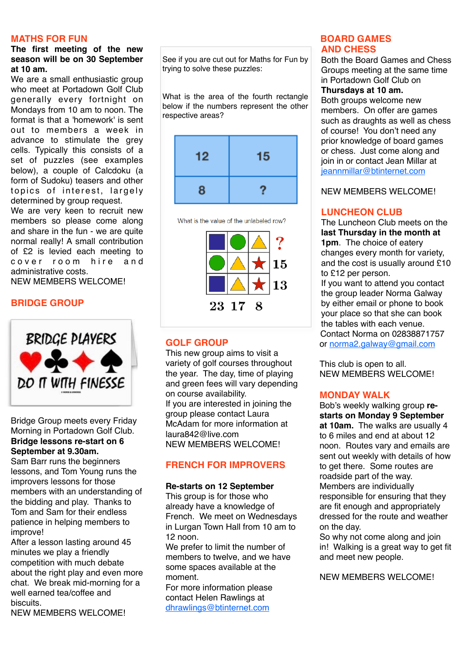## **MATHS FOR FUN**

## **The first meeting of the new season will be on 30 September at 10 am.**

We are a small enthusiastic group who meet at Portadown Golf Club generally every fortnight on Mondays from 10 am to noon. The format is that a 'homework' is sent out to members a week in advance to stimulate the grey cells. Typically this consists of a set of puzzles (see examples below), a couple of Calcdoku (a form of Sudoku) teasers and other topics of interest, largely determined by group request.

We are very keen to recruit new members so please come along and share in the fun - we are quite normal really! A small contribution of £2 is levied each meeting to cover room hire and administrative costs. NEW MEMBERS WELCOME!

## **BRIDGE GROUP**



Bridge Group meets every Friday Morning in Portadown Golf Club. **Bridge lessons re-start on 6 September at 9.30am.** 

Sam Barr runs the beginners lessons, and Tom Young runs the improvers lessons for those members with an understanding of the bidding and play. Thanks to Tom and Sam for their endless patience in helping members to improve!

After a lesson lasting around 45 minutes we play a friendly competition with much debate about the right play and even more chat. We break mid-morning for a well earned tea/coffee and biscuits.

NEW MEMBERS WELCOME!

See if you are cut out for Maths for Fun by trying to solve these puzzles:

What is the area of the fourth rectangle below if the numbers represent the other respective areas?



What is the value of the unlabeled row?



## **GOLF GROUP**

This new group aims to visit a variety of golf courses throughout the year. The day, time of playing and green fees will vary depending on course availability. If you are interested in joining the group please contact Laura McAdam for more information at [laura842@live.com](mailto:laura842@live.com) NEW MEMBERS WELCOME!

## **FRENCH FOR IMPROVERS**

### **Re-starts on 12 September**

This group is for those who already have a knowledge of French. We meet on Wednesdays in Lurgan Town Hall from 10 am to 12 noon.

We prefer to limit the number of members to twelve, and we have some spaces available at the moment.

For more information please contact Helen Rawlings at dhrawlings@btinternet.com

## **BOARD GAMES AND CHESS**

Both the Board Games and Chess Groups meeting at the same time in Portadown Golf Club on

## **Thursdays at 10 am.**

Both groups welcome new members. On offer are games such as draughts as well as chess of course! You don't need any prior knowledge of board games or chess. Just come along and join in or contact Jean Millar at jeannmillar@btinternet.com

NEW MEMBERS WELCOME!

## **LUNCHEON CLUB**

The Luncheon Club meets on the **last Thursday in the month at 1pm**. The choice of eatery changes every month for variety, and the cost is usually around £10 to £12 per person.

If you want to attend you contact the group leader Norma Galway by either email or phone to book your place so that she can book the tables with each venue. Contact Norma on 02838871757 or norma2.galway@gmail.com

This club is open to all. NEW MEMBERS WELCOME!

## **MONDAY WALK**

Bob's weekly walking group **restarts on Monday 9 September at 10am.** The walks are usually 4 to 6 miles and end at about 12 noon. Routes vary and emails are sent out weekly with details of how to get there. Some routes are roadside part of the way. Members are individually responsible for ensuring that they are fit enough and appropriately dressed for the route and weather on the day.

So why not come along and join in! Walking is a great way to get fit and meet new people.

NEW MEMBERS WELCOME!